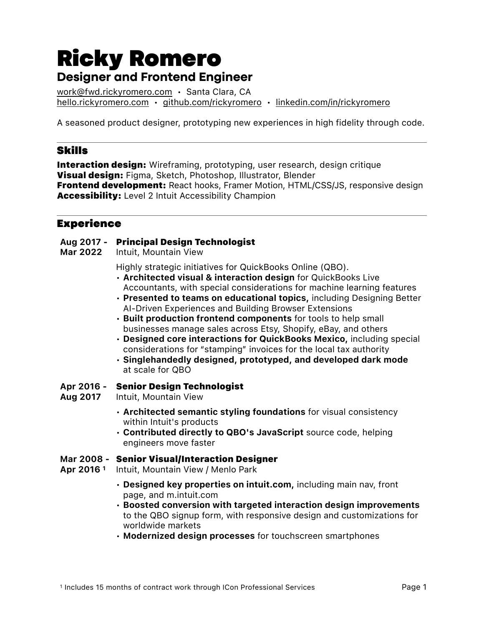# Ricky Romero **Designer and Frontend Engineer**

[work@fwd.rickyromero.com](mailto:work@fwd.rickyromero.com) • Santa Clara, CA [hello.rickyromero.com](http://hello.rickyromero.com) • [github.com/rickyromero](http://github.com/rickyromero) • [linkedin.com/in/rickyromero](http://linkedin.com/in/rickyromero)

A seasoned product designer, prototyping new experiences in high fidelity through code.

## Skills

**Interaction design:** Wireframing, prototyping, user research, design critique Visual design: Figma, Sketch, Photoshop, Illustrator, Blender **Frontend development:** React hooks, Framer Motion, HTML/CSS/JS, responsive design Accessibility: Level 2 Intuit Accessibility Champion

# Experience

### Aug 2017 - Principal Design Technologist

Mar 2022 Intuit, Mountain View

Highly strategic initiatives for QuickBooks Online (QBO).

- Architected visual & interaction design for QuickBooks Live Accountants, with special considerations for machine learning features
- Presented to teams on educational topics, including Designing Better AI-Driven Experiences and Building Browser Extensions
- Built production frontend components for tools to help small businesses manage sales across Etsy, Shopify, eBay, and others
- Designed core interactions for QuickBooks Mexico, including special considerations for "stamping" invoices for the local tax authority
- Singlehandedly designed, prototyped, and developed dark mode at scale for QBO

#### Apr 2016 - Senior Design Technologist

- Aug 2017 Intuit, Mountain View
	- Architected semantic styling foundations for visual consistency within Intuit's products
	- Contributed directly to QBO's JavaScript source code, helping engineers move faster

#### Mar 2008 - Senior Visual/Interaction Designer

- Apr 2016<sup>1</sup> Intuit, Mountain View / Menlo Park
	- Designed key properties on intuit.com, including main nav, front page, and m.intuit.com
	- Boosted conversion with targeted interaction design improvements to the QBO signup form, with responsive design and customizations for worldwide markets
	- Modernized design processes for touchscreen smartphones